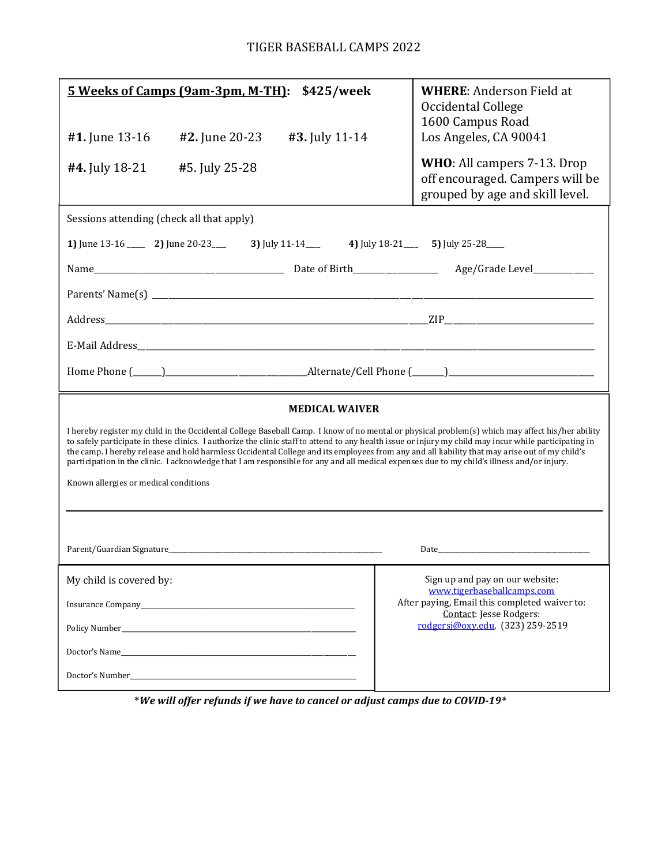| 5 Weeks of Camps (9am-3pm, M-TH):<br>\$425/week                                                                                                                                                                                                                                                                                                                                                                                                                                                                                                                                                                                                   | <b>WHERE: Anderson Field at</b><br>Occidental College<br>1600 Campus Road                         |
|---------------------------------------------------------------------------------------------------------------------------------------------------------------------------------------------------------------------------------------------------------------------------------------------------------------------------------------------------------------------------------------------------------------------------------------------------------------------------------------------------------------------------------------------------------------------------------------------------------------------------------------------------|---------------------------------------------------------------------------------------------------|
| <b>#2.</b> June 20-23<br>#3. July 11-14<br>#1. June 13-16                                                                                                                                                                                                                                                                                                                                                                                                                                                                                                                                                                                         | Los Angeles, CA 90041                                                                             |
| #4. July 18-21<br>#5. July 25-28                                                                                                                                                                                                                                                                                                                                                                                                                                                                                                                                                                                                                  | WHO: All campers 7-13. Drop<br>off encouraged. Campers will be<br>grouped by age and skill level. |
| Sessions attending (check all that apply)                                                                                                                                                                                                                                                                                                                                                                                                                                                                                                                                                                                                         |                                                                                                   |
| 1) June 13-16 ______ 2) June 20-23 ______ 3) July 11-14 _____ 4) July 18-21 _____ 5) July 25-28 ____                                                                                                                                                                                                                                                                                                                                                                                                                                                                                                                                              |                                                                                                   |
|                                                                                                                                                                                                                                                                                                                                                                                                                                                                                                                                                                                                                                                   |                                                                                                   |
|                                                                                                                                                                                                                                                                                                                                                                                                                                                                                                                                                                                                                                                   |                                                                                                   |
|                                                                                                                                                                                                                                                                                                                                                                                                                                                                                                                                                                                                                                                   |                                                                                                   |
|                                                                                                                                                                                                                                                                                                                                                                                                                                                                                                                                                                                                                                                   |                                                                                                   |
|                                                                                                                                                                                                                                                                                                                                                                                                                                                                                                                                                                                                                                                   |                                                                                                   |
| <b>MEDICAL WAIVER</b>                                                                                                                                                                                                                                                                                                                                                                                                                                                                                                                                                                                                                             |                                                                                                   |
| I hereby register my child in the Occidental College Baseball Camp. I know of no mental or physical problem(s) which may affect his/her ability<br>to safely participate in these clinics. I authorize the clinic staff to attend to any health issue or injury my child may incur while participating in<br>the camp. I hereby release and hold harmless Occidental College and its employees from any and all liability that may arise out of my child's<br>participation in the clinic. I acknowledge that I am responsible for any and all medical expenses due to my child's illness and/or injury.<br>Known allergies or medical conditions |                                                                                                   |
|                                                                                                                                                                                                                                                                                                                                                                                                                                                                                                                                                                                                                                                   |                                                                                                   |
| Date and the state of the state of the state of the state of the state of the state of the state of the state of the state of the state of the state of the state of the state of the state of the state of the state of the s                                                                                                                                                                                                                                                                                                                                                                                                                    |                                                                                                   |
| My child is covered by:                                                                                                                                                                                                                                                                                                                                                                                                                                                                                                                                                                                                                           | Sign up and pay on our website:<br>www.tigerbaseballcamps.com                                     |
|                                                                                                                                                                                                                                                                                                                                                                                                                                                                                                                                                                                                                                                   | After paying, Email this completed waiver to:<br>Contact: Jesse Rodgers:                          |
| Policy Number Policy Number                                                                                                                                                                                                                                                                                                                                                                                                                                                                                                                                                                                                                       | rodgersi@oxy.edu, (323) 259-2519                                                                  |
|                                                                                                                                                                                                                                                                                                                                                                                                                                                                                                                                                                                                                                                   |                                                                                                   |
|                                                                                                                                                                                                                                                                                                                                                                                                                                                                                                                                                                                                                                                   |                                                                                                   |

\*We will offer refunds if we have to cancel or adjust camps due to COVID-19\*